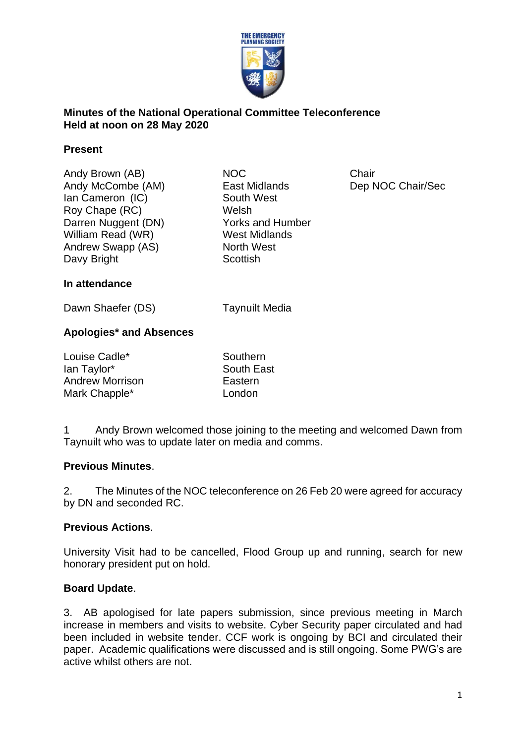

# **Minutes of the National Operational Committee Teleconference Held at noon on 28 May 2020**

#### **Present**

Andy Brown (AB) NOC **Chair** Andy McCombe (AM) East Midlands Dep NOC Chair/Sec Ian Cameron (IC) South West Roy Chape (RC) Welsh Darren Nuggent (DN) Yorks and Humber William Read (WR) West Midlands Andrew Swapp (AS) North West Davy Bright Scottish

#### **In attendance**

Dawn Shaefer (DS) Taynuilt Media

# **Apologies\* and Absences**

| Louise Cadle*          | Southern          |
|------------------------|-------------------|
| lan Taylor*            | <b>South East</b> |
| <b>Andrew Morrison</b> | Eastern           |
| Mark Chapple*          | London            |

1 Andy Brown welcomed those joining to the meeting and welcomed Dawn from Taynuilt who was to update later on media and comms.

# **Previous Minutes**.

2. The Minutes of the NOC teleconference on 26 Feb 20 were agreed for accuracy by DN and seconded RC.

# **Previous Actions**.

University Visit had to be cancelled, Flood Group up and running, search for new honorary president put on hold.

# **Board Update**.

3. AB apologised for late papers submission, since previous meeting in March increase in members and visits to website. Cyber Security paper circulated and had been included in website tender. CCF work is ongoing by BCI and circulated their paper. Academic qualifications were discussed and is still ongoing. Some PWG's are active whilst others are not.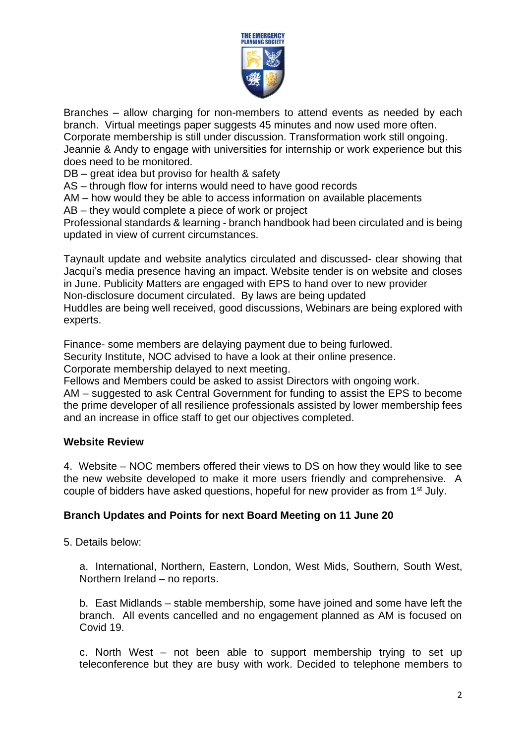

Branches – allow charging for non-members to attend events as needed by each branch. Virtual meetings paper suggests 45 minutes and now used more often. Corporate membership is still under discussion. Transformation work still ongoing. Jeannie & Andy to engage with universities for internship or work experience but this does need to be monitored.

DB – great idea but proviso for health & safety

AS – through flow for interns would need to have good records

AM – how would they be able to access information on available placements

AB – they would complete a piece of work or project

Professional standards & learning - branch handbook had been circulated and is being updated in view of current circumstances.

Taynault update and website analytics circulated and discussed- clear showing that Jacqui's media presence having an impact. Website tender is on website and closes in June. Publicity Matters are engaged with EPS to hand over to new provider Non-disclosure document circulated. By laws are being updated Huddles are being well received, good discussions, Webinars are being explored with experts.

Finance- some members are delaying payment due to being furlowed.

Security Institute, NOC advised to have a look at their online presence.

Corporate membership delayed to next meeting.

Fellows and Members could be asked to assist Directors with ongoing work.

AM – suggested to ask Central Government for funding to assist the EPS to become the prime developer of all resilience professionals assisted by lower membership fees and an increase in office staff to get our objectives completed.

#### **Website Review**

4. Website – NOC members offered their views to DS on how they would like to see the new website developed to make it more users friendly and comprehensive. A couple of bidders have asked questions, hopeful for new provider as from 1<sup>st</sup> July.

# **Branch Updates and Points for next Board Meeting on 11 June 20**

5. Details below:

a. International, Northern, Eastern, London, West Mids, Southern, South West, Northern Ireland – no reports.

b. East Midlands – stable membership, some have joined and some have left the branch. All events cancelled and no engagement planned as AM is focused on Covid 19.

c. North West – not been able to support membership trying to set up teleconference but they are busy with work. Decided to telephone members to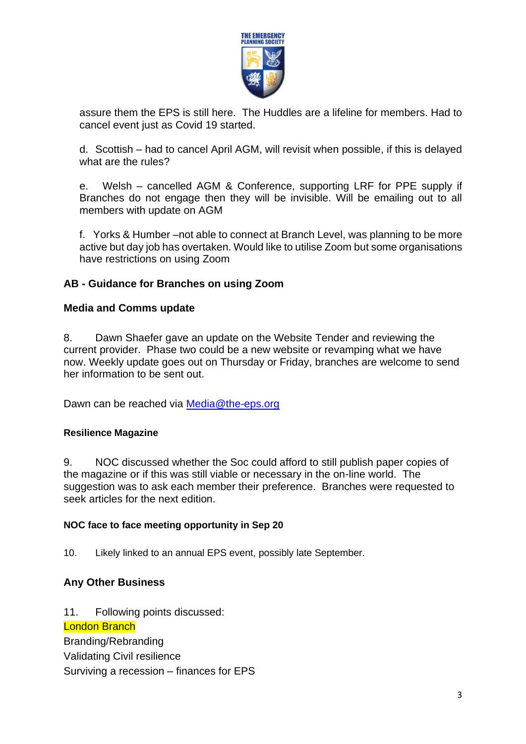

assure them the EPS is still here. The Huddles are a lifeline for members. Had to cancel event just as Covid 19 started.

d. Scottish – had to cancel April AGM, will revisit when possible, if this is delayed what are the rules?

e. Welsh – cancelled AGM & Conference, supporting LRF for PPE supply if Branches do not engage then they will be invisible. Will be emailing out to all members with update on AGM

f. Yorks & Humber –not able to connect at Branch Level, was planning to be more active but day job has overtaken. Would like to utilise Zoom but some organisations have restrictions on using Zoom

# **AB - Guidance for Branches on using Zoom**

#### **Media and Comms update**

8. Dawn Shaefer gave an update on the Website Tender and reviewing the current provider. Phase two could be a new website or revamping what we have now. Weekly update goes out on Thursday or Friday, branches are welcome to send her information to be sent out.

Dawn can be reached via [Media@the-eps.org](mailto:Media@the-eps.org) 

# **Resilience Magazine**

9. NOC discussed whether the Soc could afford to still publish paper copies of the magazine or if this was still viable or necessary in the on-line world. The suggestion was to ask each member their preference. Branches were requested to seek articles for the next edition.

#### **NOC face to face meeting opportunity in Sep 20**

10. Likely linked to an annual EPS event, possibly late September.

# **Any Other Business**

11. Following points discussed:

London Branch Branding/Rebranding Validating Civil resilience Surviving a recession – finances for EPS